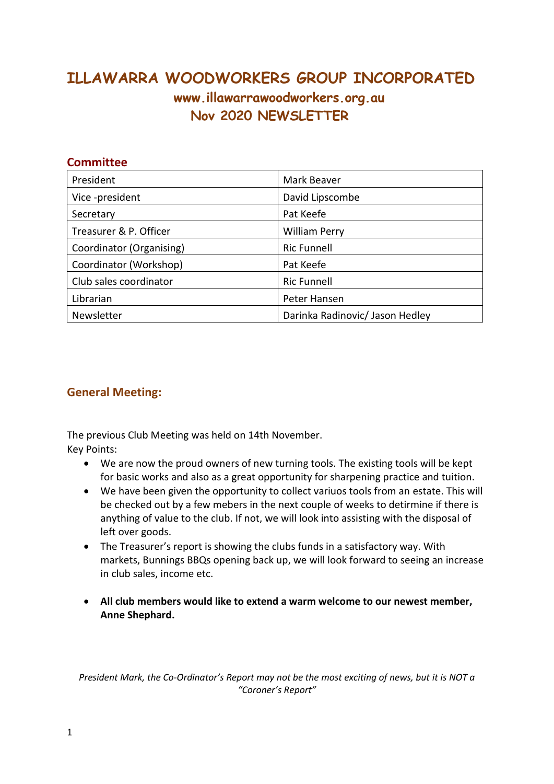# **ILLAWARRA WOODWORKERS GROUP INCORPORATED www.illawarrawoodworkers.org.au Nov 2020 NEWSLETTER**

| <b>Committee</b>         |                                 |
|--------------------------|---------------------------------|
| President                | Mark Beaver                     |
| Vice-president           | David Lipscombe                 |
| Secretary                | Pat Keefe                       |
| Treasurer & P. Officer   | <b>William Perry</b>            |
| Coordinator (Organising) | <b>Ric Funnell</b>              |
| Coordinator (Workshop)   | Pat Keefe                       |
| Club sales coordinator   | <b>Ric Funnell</b>              |
| Librarian                | Peter Hansen                    |
| Newsletter               | Darinka Radinovic/ Jason Hedley |

### **General Meeting:**

The previous Club Meeting was held on 14th November. Key Points:

- We are now the proud owners of new turning tools. The existing tools will be kept for basic works and also as a great opportunity for sharpening practice and tuition.
- We have been given the opportunity to collect variuos tools from an estate. This will be checked out by a few mebers in the next couple of weeks to detirmine if there is anything of value to the club. If not, we will look into assisting with the disposal of left over goods.
- The Treasurer's report is showing the clubs funds in a satisfactory way. With markets, Bunnings BBQs opening back up, we will look forward to seeing an increase in club sales, income etc.
- **All club members would like to extend a warm welcome to our newest member, Anne Shephard.**

*President Mark, the Co-Ordinator's Report may not be the most exciting of news, but it is NOT a "Coroner's Report"*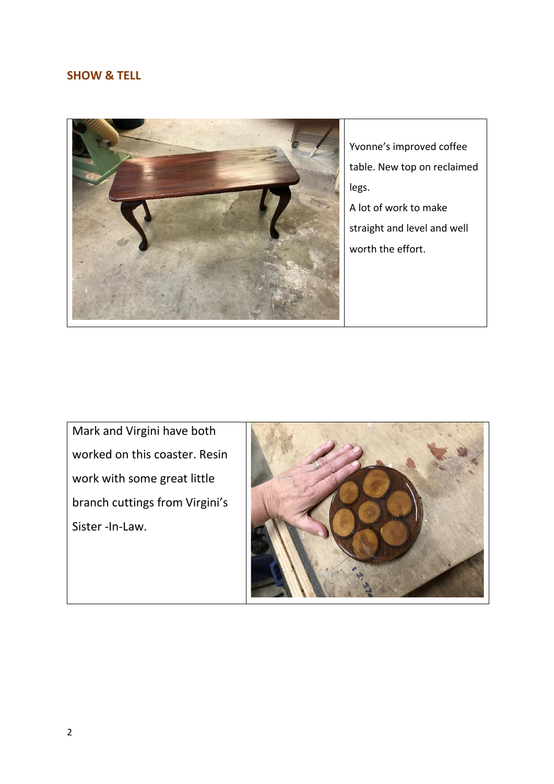#### **SHOW & TELL**



Yvonne's improved coffee table. New top on reclaimed legs.

A lot of work to make straight and level and well worth the effort.

Mark and Virgini have both worked on this coaster. Resin work with some great little branch cuttings from Virgini's Sister -In-Law.

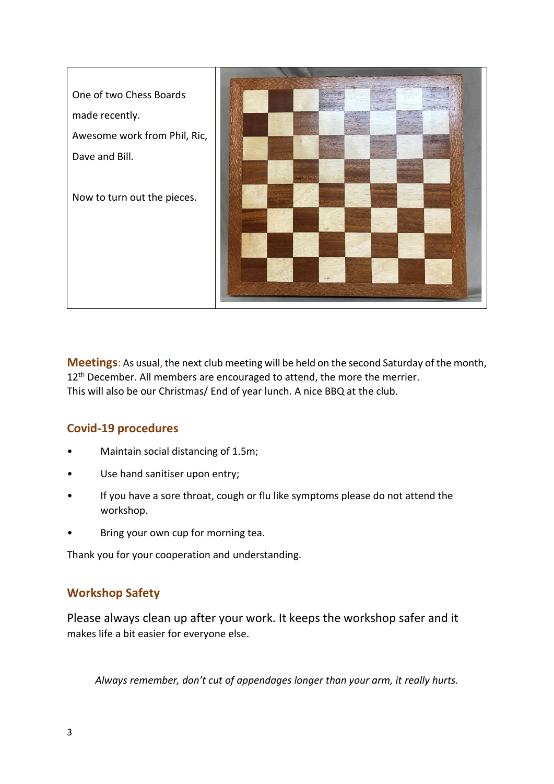

**Meetings**: As usual, the next club meeting will be held on the second Saturday of the month, 12<sup>th</sup> December. All members are encouraged to attend, the more the merrier. This will also be our Christmas/ End of year lunch. A nice BBQ at the club.

## **Covid-19 procedures**

- Maintain social distancing of 1.5m;
- Use hand sanitiser upon entry;
- If you have a sore throat, cough or flu like symptoms please do not attend the workshop.
- Bring your own cup for morning tea.

Thank you for your cooperation and understanding.

## **Workshop Safety**

Please always clean up after your work. It keeps the workshop safer and it makes life a bit easier for everyone else.

Always remember, don't cut of appendages longer than your arm, it really hurts.